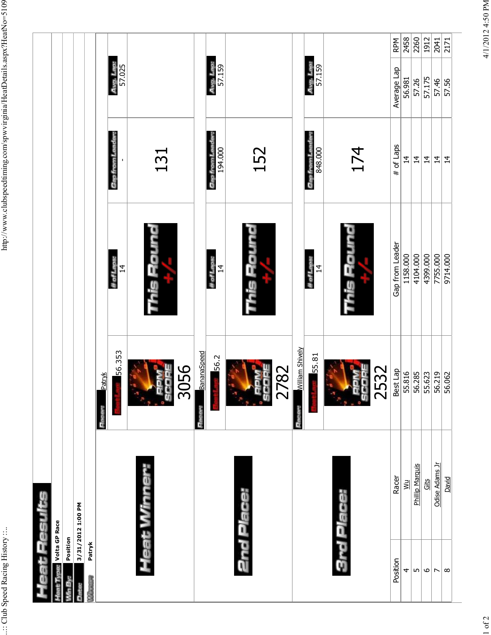| # of Laps<br>174<br>194.000<br>848.000<br>152<br>131<br>Gap from Le<br>Gap from Le<br><b>Gap from L</b><br>$\overline{4}$<br>$\overline{4}$<br>$\overline{4}$<br>This Round<br>une;=<br>HO-<br>Gap from Leader<br>1158.000<br>4104.000<br>4399.000<br># of Laps:<br># of Laps:<br># of Laps:<br>$\overline{4}$<br>$\overline{4}$<br>$\overline{4}$<br><u>io</u><br>aig<br><b>William Shively</b><br>56.353<br>BananaSpeed<br>55.81<br>56.2<br>3056<br>2782<br>2532<br>Best Lap<br>55.816<br>$\frac{55.623}{56.219}$<br>Patryk<br>Ŗ<br>g<br>ù<br>ັທ<br>ū<br>oed<br>ũ<br>Heat Winner:<br>Phillip Marquis<br>Racer<br>Gits<br>УW<br><b>2nd Place:</b><br><b>3rd Place:</b><br>3/31/2012 1:00 PM<br><b>Livine: Volta GP Race</b><br>Position<br>Patryk<br>Position<br>4<br>Ln<br>$\circ$<br><b>Contract</b> | eat Results              |                |          |            |                     |            |
|---------------------------------------------------------------------------------------------------------------------------------------------------------------------------------------------------------------------------------------------------------------------------------------------------------------------------------------------------------------------------------------------------------------------------------------------------------------------------------------------------------------------------------------------------------------------------------------------------------------------------------------------------------------------------------------------------------------------------------------------------------------------------------------------------------|--------------------------|----------------|----------|------------|---------------------|------------|
|                                                                                                                                                                                                                                                                                                                                                                                                                                                                                                                                                                                                                                                                                                                                                                                                         |                          |                |          |            |                     |            |
|                                                                                                                                                                                                                                                                                                                                                                                                                                                                                                                                                                                                                                                                                                                                                                                                         |                          |                |          |            |                     |            |
|                                                                                                                                                                                                                                                                                                                                                                                                                                                                                                                                                                                                                                                                                                                                                                                                         |                          |                |          |            |                     |            |
|                                                                                                                                                                                                                                                                                                                                                                                                                                                                                                                                                                                                                                                                                                                                                                                                         |                          |                |          |            |                     |            |
|                                                                                                                                                                                                                                                                                                                                                                                                                                                                                                                                                                                                                                                                                                                                                                                                         |                          |                |          |            |                     |            |
|                                                                                                                                                                                                                                                                                                                                                                                                                                                                                                                                                                                                                                                                                                                                                                                                         |                          |                |          |            | Avg. Lap:<br>57.025 |            |
|                                                                                                                                                                                                                                                                                                                                                                                                                                                                                                                                                                                                                                                                                                                                                                                                         |                          |                |          |            |                     |            |
|                                                                                                                                                                                                                                                                                                                                                                                                                                                                                                                                                                                                                                                                                                                                                                                                         |                          |                |          |            |                     |            |
|                                                                                                                                                                                                                                                                                                                                                                                                                                                                                                                                                                                                                                                                                                                                                                                                         |                          |                |          |            | Avg. Lap:<br>57.159 |            |
|                                                                                                                                                                                                                                                                                                                                                                                                                                                                                                                                                                                                                                                                                                                                                                                                         |                          |                |          |            |                     |            |
|                                                                                                                                                                                                                                                                                                                                                                                                                                                                                                                                                                                                                                                                                                                                                                                                         |                          |                |          |            |                     |            |
|                                                                                                                                                                                                                                                                                                                                                                                                                                                                                                                                                                                                                                                                                                                                                                                                         |                          |                |          |            | Avg. Lap:<br>57.159 |            |
|                                                                                                                                                                                                                                                                                                                                                                                                                                                                                                                                                                                                                                                                                                                                                                                                         |                          |                |          |            |                     |            |
|                                                                                                                                                                                                                                                                                                                                                                                                                                                                                                                                                                                                                                                                                                                                                                                                         |                          |                |          |            | Average Lap         | <b>RPM</b> |
|                                                                                                                                                                                                                                                                                                                                                                                                                                                                                                                                                                                                                                                                                                                                                                                                         |                          |                |          |            | 56.981              | 2458       |
|                                                                                                                                                                                                                                                                                                                                                                                                                                                                                                                                                                                                                                                                                                                                                                                                         |                          |                |          |            | 57.26               | 2260       |
|                                                                                                                                                                                                                                                                                                                                                                                                                                                                                                                                                                                                                                                                                                                                                                                                         |                          |                |          |            | 57.175              | 1912       |
|                                                                                                                                                                                                                                                                                                                                                                                                                                                                                                                                                                                                                                                                                                                                                                                                         | $\overline{\phantom{a}}$ | Odise Adams Jr | 7755.000 | $\ddot{4}$ | 57.46               | 2041       |
| $\overline{4}$<br>9714.000<br>David<br>∣∞                                                                                                                                                                                                                                                                                                                                                                                                                                                                                                                                                                                                                                                                                                                                                               |                          |                |          |            | 57.56               | 2171       |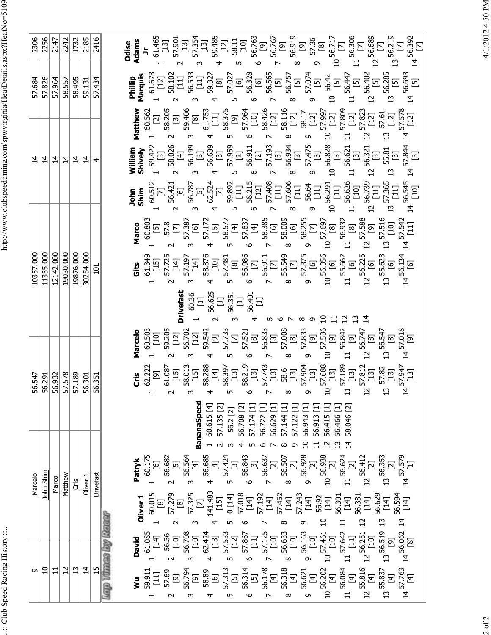.:: Club Speed Racing History ::..

| 2306      | 2256           | 2147           | 2242           | 1732           | 2185                | 2416           | Odise<br>Adams<br>Jr                                                                                                                                                                                                                                                                                                                                                                                                                                                 |
|-----------|----------------|----------------|----------------|----------------|---------------------|----------------|----------------------------------------------------------------------------------------------------------------------------------------------------------------------------------------------------------------------------------------------------------------------------------------------------------------------------------------------------------------------------------------------------------------------------------------------------------------------|
| 57.684    | 57.826         | 57.964         | 58.557         | 58.495         | 59.131              | 57.434         | $\begin{array}{l} 2.51 \\ 2.51 \\ 3.52 \\ 4.53 \\ 5.54 \\ 6.55 \\ 7.59 \\ 7.51 \\ 7.52 \\ 8.53 \\ 9.54 \\ 1.55 \\ 1.57 \\ 1.59 \\ 1.59 \\ 1.50 \\ 1.50 \\ 1.50 \\ 1.50 \\ 1.50 \\ 1.50 \\ 1.50 \\ 1.50 \\ 1.50 \\ 1.50 \\ 1.50 \\ 1.50 \\ 1.50 \\ 1.50 \\ 1.50 \\ 1.50 \\ 1.50 \\ 1.50 \\ 1.50 \\ 1.50 \\ 1.$<br>56.693<br>[5]<br>Phillip<br>Marquis<br>$\overline{C}$<br>$\vec{4}$<br>$\overline{a}$                                                                |
|           |                |                |                |                |                     |                | $\begin{array}{l} 68\\ 62\\ 83\\ \end{array} \begin{array}{l} 28\\ 8\\ 8\\ \end{array} \begin{array}{l} 28\\ 8\\ 8\\ \end{array} \begin{array}{l} 28\\ 8\\ 8\\ \end{array} \begin{array}{l} 28\\ 8\\ 8\\ \end{array} \begin{array}{l} 28\\ 8\\ 8\\ \end{array} \begin{array}{l} 28\\ 8\\ 8\\ \end{array} \begin{array}{l} 28\\ 8\\ 8\\ \end{array} \begin{array}{l} 28\\ 8\\ 8\\ \end{array} \begin{array}{l} 28\\ 8\\ 8\\ \end{$<br>Matthew<br>4                    |
| $\vec{4}$ | $\overline{4}$ | $\overline{4}$ | $\vec{a}$      | $\vec{4}$      | $\overline{4}$      | 4              |                                                                                                                                                                                                                                                                                                                                                                                                                                                                      |
|           |                |                |                |                |                     |                | $\begin{array}{l} \frac{1}{2} \frac{1}{2} \frac{1}{2} \frac{1}{2} \frac{1}{2} \frac{1}{2} \frac{1}{2} \frac{1}{2} \frac{1}{2} \frac{1}{2} \frac{1}{2} \frac{1}{2} \frac{1}{2} \frac{1}{2} \frac{1}{2} \frac{1}{2} \frac{1}{2} \frac{1}{2} \frac{1}{2} \frac{1}{2} \frac{1}{2} \frac{1}{2} \frac{1}{2} \frac{1}{2} \frac{1}{2} \frac{1}{2} \frac{1}{2} \frac{1}{2} \frac{1}{2} \frac{1}{2} \frac{$<br>$\vec{4}$<br>$\overline{a}$<br>$\overline{u}$<br>$\mathfrak{L}$ |
|           |                |                |                |                |                     |                |                                                                                                                                                                                                                                                                                                                                                                                                                                                                      |
| 10357.000 | 11335.000      | 12142.000      | 19030.000      | 19876.000      | 30254.000           | ក្ន            |                                                                                                                                                                                                                                                                                                                                                                                                                                                                      |
|           |                |                |                |                |                     |                | $\begin{array}{c} 60.36 \\[-4pt] 11 \\ 56.625 \\[-4pt] 56.351 \\ 56.351 \\[-4pt] 11 \\ 56.401 \\[-4pt] 11 \\[-4pt] 56.401 \\[-4pt] 11 \\[-4pt] 11 \\[-4pt] 11 \\[-4pt] 11 \\[-4pt] 11 \\[-4pt] 11 \\[-4pt] 11 \\[-4pt] 11 \\[-4pt] 12 \\[-4pt] 13 \\[-4pt] 14 \\[-4pt] 15 \\[-4pt] 16 \\[-4pt] 17 \\[-4pt] 18 \\[-4pt] 19 \\[-4pt] 1$<br><b>Drivefast</b>                                                                                                            |
|           |                |                |                |                |                     |                | <b>Second Second Conduct of the Conduct of the Conduct of the Conduct of the Conduct of the Conduct of the Conduct of the Conduct of the Conduct of the Conduct of the Conduct of the Conduct of the Conduct of the Conduct of </b><br>$\overline{a}$<br>$\overline{2}$                                                                                                                                                                                              |
| 56.547    | 56.291         | 56.932         | 57.578         | 57.189         | 56.301              | 56.351         | $\circ$<br>Ņ<br>$\sigma$<br>$\downarrow$<br>ص ۔<br>— ⊾∩<br>$\overline{\phantom{a}}$<br>$\infty$                                                                                                                                                                                                                                                                                                                                                                      |
|           |                |                |                |                |                     |                | <b>BananaSpeed</b><br>60.615 [4]<br>58.046 [2]<br>57.135 [2]<br>56.2 [2]<br>56.708 [2]<br>56.913 [<br>56.415 [<br>56.466 [<br>57.174<br>56.943<br>56.722<br>57.144<br>57.122<br>56.629<br>$\Omega$<br>$\overline{\mathbf{C}}$<br>≅<br>$\overline{4}$<br>ᡡ<br>$\infty$                                                                                                                                                                                                |
| Marcelo   | John Shim      | Marco          | Matthew        | $rac{1}{2}$    | Oliver <sub>1</sub> | Drivefast      | $\begin{array}{cccccccc} 1.75 & 0.175 & 0.000 & 0.000 & 0.000 & 0.000 & 0.000 & 0.000 & 0.000 & 0.000 & 0.000 & 0.000 & 0.000 & 0.000 & 0.000 & 0.000 & 0.000 & 0.000 & 0.000 & 0.000 & 0.000 & 0.000 & 0.000 & 0.000 & 0.000 & 0.000 & 0.000 & 0.000 & 0.000 & 0.000 & 0.$<br>Patryk                                                                                                                                                                                |
|           |                |                |                |                |                     |                | Oliver 1                                                                                                                                                                                                                                                                                                                                                                                                                                                             |
|           |                |                |                |                |                     |                | <b>Leap Things Liv Raison</b><br>61.085<br>1 1<br>56.708 3<br>56.708 3<br>56.709 3<br>56.709 5<br>57.424<br>57.424<br>57.633 8<br>57.642 1<br>57.642 1<br>57.642 1<br>57.642 1<br>57.642 1<br>57.642 1<br>57.653 1<br>57.642 1<br>57.653 1<br>57.642 1<br>57.653 1<br>8 56.701<br>8 56.701<br>8 56.701<br>8<br><b>David</b>                                                                                                                                          |
| თ         | $\Omega$       | $\Xi$          | $\overline{c}$ | $\mathfrak{u}$ | $\overline{4}$      | $\frac{15}{2}$ | $\begin{array}{c} 11 \ 56.084 \\ 12 \ 55.816 \\ 12 \ 55.837 \\ 13 \ 55.837 \\ 14 \end{array}$<br>$14\frac{57.763}{ }$<br>š                                                                                                                                                                                                                                                                                                                                           |

4/1/2012 4:50 PM 2 of 2 4/1/2012 4:50 PM

 $2$  of  $2$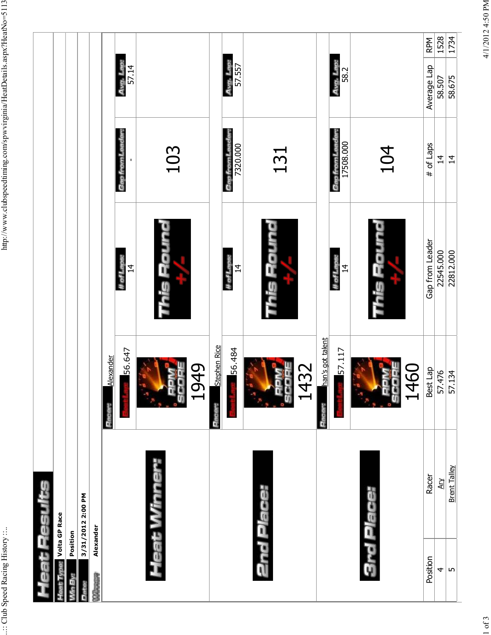| Heat Winner:<br>Racer<br>eat Results<br><b>2nd Place:</b><br><b>3rd Place:</b><br>3/31/2012 2:00 PM<br><b>the Vipe:</b> Volta GP Race<br>Alexander<br>Position<br>Position<br><b>CONTACT</b> | ÷,<br>Pacer:<br>Pace<br><b>Fact</b> | han's got talent<br><b>Stephen Rice</b><br>56.484<br>56.647<br>57.117<br>Alexander<br>132<br>.949<br>1460<br>Best Lap<br>ū | This Round<br>This Round<br>This Round<br>Gap from Leader<br># of Laps:<br># of Laps:<br># of Laps:<br>14<br>$\overline{4}$<br>$\overline{4}$ | Gap from Leader:<br>Gap from Leader:<br>Gap from Leader:<br>17508.000<br># of Laps<br>7320.000<br>104<br>103<br>131 | Avg. Lap:<br>Avg. Lap:<br>Avg. Lap:<br>57.557<br>57.14<br>Average Lap<br>58.2 | <b>RPM</b>       |
|----------------------------------------------------------------------------------------------------------------------------------------------------------------------------------------------|-------------------------------------|----------------------------------------------------------------------------------------------------------------------------|-----------------------------------------------------------------------------------------------------------------------------------------------|---------------------------------------------------------------------------------------------------------------------|-------------------------------------------------------------------------------|------------------|
|                                                                                                                                                                                              |                                     |                                                                                                                            |                                                                                                                                               |                                                                                                                     |                                                                               | 1528             |
|                                                                                                                                                                                              |                                     |                                                                                                                            |                                                                                                                                               |                                                                                                                     |                                                                               | 1734             |
| <b>Brent Talley</b><br>Ary<br>4<br>LO                                                                                                                                                        |                                     | 57.476<br>57.134                                                                                                           | 22545.000<br>22812.000                                                                                                                        | $\overline{4}$<br>$\overline{4}$                                                                                    |                                                                               | 58.675<br>58.507 |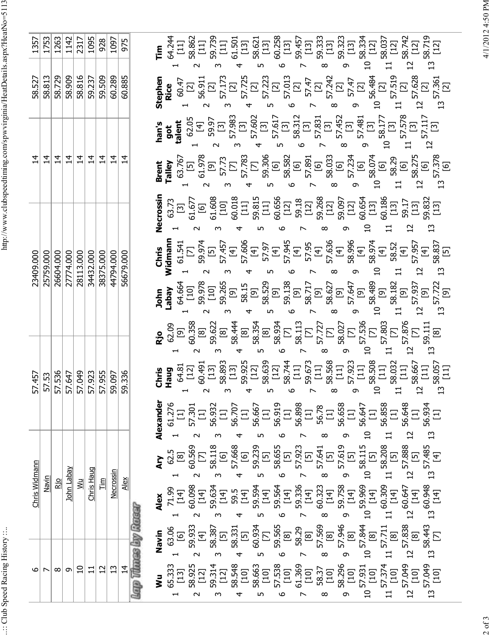.:: Club Speed Racing History ::..

∽ ا ه

Chris Widmann 57.457 23409.000 14 58.527 1357

57.457 57.53

Chris Widmann Navin

23409.000

 $1753$ 1357

58.527<br>58.813

 $\left| \vec{r} \right|$  $\overline{14}$ 

| 1753         | 1263      | 1142           | 2317                                 | 1095       | 928            | 1097           | 975           |  | $\begin{array}{lllllllllllllllllll} \textbf{F} & \textbf{g} & \textbf{g} & \textbf{g} & \textbf{g} & \textbf{g} \\ \textbf{g} & \textbf{g} & \textbf{g} & \textbf{g} & \textbf{g} & \textbf{g} & \textbf{g} \\ \textbf{g} & \textbf{g} & \textbf{g} & \textbf{g} & \textbf{g} & \textbf{g} & \textbf{g} \\ \textbf{g} & \textbf{g} & \textbf{g} & \textbf{g} & \textbf{g} & \textbf{g} & \textbf{g} \\ \textbf{g} & \textbf{g} & \$                                                                         |                                                                                                                                                                                                                                                                                                                                                                                                                                  |   |   |   |   |   | $\overline{a}$ |       | $\mathbf{1}$ | $\overline{c}$  |              |                          |  |  |  |  |  |  |  |  |  |  |  |
|--------------|-----------|----------------|--------------------------------------|------------|----------------|----------------|---------------|--|-------------------------------------------------------------------------------------------------------------------------------------------------------------------------------------------------------------------------------------------------------------------------------------------------------------------------------------------------------------------------------------------------------------------------------------------------------------------------------------------------------------|----------------------------------------------------------------------------------------------------------------------------------------------------------------------------------------------------------------------------------------------------------------------------------------------------------------------------------------------------------------------------------------------------------------------------------|---|---|---|---|---|----------------|-------|--------------|-----------------|--------------|--------------------------|--|--|--|--|--|--|--|--|--|--|--|
| 58.813       | 58.729    | 58.909         | 58.816                               | 59.237     | 59.509         | 60.289         | 60.885        |  | <b>Sheet</b><br><b>Rice</b><br><b>Rice</b><br><b>Rice</b><br><b>Rice</b><br><b>Rice</b><br><b>Rice</b><br><b>Rice</b><br><b>Rice</b><br><b>Rice</b><br><b>Rice</b><br><b>Rice</b><br><b>Rice</b><br><b>Right</b><br><b>Right</b><br><b>Right</b><br><b>Right</b><br><b>Right</b><br><b>Right</b><br><b>Right</b><br><b>Right</b><br><b>Right</b><br><b>Right</b><br><b>Right</b><br><b>Right</b><br><b>Right</b><br>                                                                                        |                                                                                                                                                                                                                                                                                                                                                                                                                                  |   |   |   |   |   |                |       |              |                 |              |                          |  |  |  |  |  |  |  |  |  |  |  |
|              |           |                |                                      |            |                |                |               |  | $\begin{array}{cccccccccccccc} \text{In} & \text{In} & \text{In} & \text{In} & \text{In} & \text{In} \\ \text{In} & \text{In} & \text{In} & \text{In} & \text{In} & \text{In} \\ \text{In} & \text{In} & \text{In} & \text{In} & \text{In} & \text{In} \\ \text{In} & \text{In} & \text{In} & \text{In} & \text{In} & \text{In} \\ \text{In} & \text{In} & \text{In} & \text{In} & \text{In} & \text{In} \\ \text{In} & \text{In} & \text{In} & \text{In} & \text{In} &$                                    |                                                                                                                                                                                                                                                                                                                                                                                                                                  |   |   |   |   |   |                |       |              |                 |              |                          |  |  |  |  |  |  |  |  |  |  |  |
| 14           | $\vec{4}$ | $\overline{4}$ | $\overline{4}$                       | $\vec{4}$  | $\vec{4}$      | $\overline{4}$ | $\mathbf{14}$ |  | <b>Set 1</b><br><b>Example 2</b><br><b>Example 3</b><br><b>Example 3</b><br><b>Example 3</b><br><b>Example 3</b><br><b>Example 3</b><br><b>Example 3</b><br><b>Example 3</b><br><b>Example 3</b><br><b>Example 3</b><br><b>Example 3</b><br><b>Example 3</b><br><b>Example 3</b><br><b>Example 3</b><br><b>Example 3</b><br><b>Example 3</b><br><b>Exa</b>                                                                                                                                                  |                                                                                                                                                                                                                                                                                                                                                                                                                                  |   |   |   |   |   |                |       |              |                 |              |                          |  |  |  |  |  |  |  |  |  |  |  |
|              |           |                |                                      |            |                |                |               |  | <b>Secossin</b><br>63.73<br>63.73<br>63.60<br>63.73<br>63.73<br>63.73<br>63.73<br>63.73<br>63.73<br>63.73<br>63.73<br>63.73<br>63.73<br>63.73<br>63.73<br>63.60<br>64.60<br>64.60<br>64.60<br>64.60<br>64.60<br>64.60<br>64.60<br>64.0<br>64.0<br>64.0<br>64.0<br>64.0<br>64.0<br>64.0<br>64.0<br>                                                                                                                                                                                                          |                                                                                                                                                                                                                                                                                                                                                                                                                                  |   |   |   |   |   |                |       |              |                 |              |                          |  |  |  |  |  |  |  |  |  |  |  |
| 25759.000    | 26604.000 | 27774.000      | 28113.000                            | 34432.000  | 38375.000      | 44794.000      | 56679.000     |  |                                                                                                                                                                                                                                                                                                                                                                                                                                                                                                             |                                                                                                                                                                                                                                                                                                                                                                                                                                  |   |   |   |   |   |                | $\Xi$ | $\Box$       |                 |              |                          |  |  |  |  |  |  |  |  |  |  |  |
|              |           |                |                                      |            |                |                |               |  | $\begin{array}{cccccccccccc} \text{1}_{\text{max}} & \text{1}_{\text{max}} & \text{1}_{\text{max}} & \text{1}_{\text{max}} & \text{1}_{\text{max}} & \text{1}_{\text{max}} & \text{1}_{\text{max}} & \text{1}_{\text{max}} & \text{1}_{\text{max}} & \text{1}_{\text{max}} & \text{1}_{\text{max}} & \text{1}_{\text{max}} & \text{1}_{\text{max}} & \text{1}_{\text{max}} & \text{1}_{\text{max}} & \text{1}_{\text{max}} & \text{1}_{\text{max}} & \text{1}_{\text{max}} & \text{1}_{\text{max}} & \text$ |                                                                                                                                                                                                                                                                                                                                                                                                                                  |   |   |   |   |   |                |       |              |                 |              |                          |  |  |  |  |  |  |  |  |  |  |  |
|              |           |                |                                      |            |                |                |               |  |                                                                                                                                                                                                                                                                                                                                                                                                                                                                                                             |                                                                                                                                                                                                                                                                                                                                                                                                                                  |   |   |   |   |   |                |       |              |                 |              |                          |  |  |  |  |  |  |  |  |  |  |  |
| <u>57.53</u> |           |                | 57.536<br>57.647<br>57.923<br>57.923 |            | 57.955         | 59.097         | 59.336        |  |                                                                                                                                                                                                                                                                                                                                                                                                                                                                                                             |                                                                                                                                                                                                                                                                                                                                                                                                                                  | ო | ഥ | م |   |   |                |       |              |                 |              |                          |  |  |  |  |  |  |  |  |  |  |  |
|              |           |                |                                      |            |                |                |               |  | <b>Alexander</b><br>1 61.276<br>1 57.301<br>2 56.932<br>2 56.932<br>56.667<br>56.667<br>56.668<br>56.685<br>56.685<br>56.685<br>56.934<br>56.685<br>56.934<br>56.932<br>56.893<br>56.893<br>56.893<br>56.932<br>56.932<br>56.932<br>56.932<br>56.932<br>56.932<br>56.932<br>56.932<br>5                                                                                                                                                                                                                     |                                                                                                                                                                                                                                                                                                                                                                                                                                  |   |   |   |   |   |                |       |              |                 |              |                          |  |  |  |  |  |  |  |  |  |  |  |
|              |           |                |                                      |            |                |                |               |  |                                                                                                                                                                                                                                                                                                                                                                                                                                                                                                             |                                                                                                                                                                                                                                                                                                                                                                                                                                  |   |   |   |   |   |                |       |              |                 |              |                          |  |  |  |  |  |  |  |  |  |  |  |
| <u>Navin</u> | Rio       | John Labay     | ΣÑ                                   | Chris Haug | $\mathbb{E}$   | Necrossin      | <u>Alex</u>   |  | $\begin{array}{l} \bullet \bullet \\ \bullet \end{array} \begin{array}{l} 9,75 \\ 1,75 \\ 2,85 \\ 3,15 \\ 4,15 \\ 5,15 \\ 6,15 \\ 6,15 \\ 6,15 \\ 6,15 \\ 6,15 \\ 6,15 \\ 6,15 \\ 6,15 \\ 6,15 \\ 6,15 \\ 6,15 \\ 6,15 \\ 6,15 \\ 6,15 \\ 6,15 \\ 6,15 \\ 6,15 \\ 6,15 \\ 6,15 \\ 6,15 \\ 6,15 \\ 6,15 \\ 6,15 \\ 6,15 \\ 6,15 \\ 6,15 \\ 6$<br>$\sim$                                                                                                                                                      | ო                                                                                                                                                                                                                                                                                                                                                                                                                                |   |   | ७ | ∞ |   |                |       |              |                 |              |                          |  |  |  |  |  |  |  |  |  |  |  |
|              |           |                |                                      |            |                |                |               |  |                                                                                                                                                                                                                                                                                                                                                                                                                                                                                                             | $\begin{array}{cccccccccccc} \text{N} & \text{N} & \text{N} & \text{N} & \text{N} & \text{N} & \text{N} & \text{N} & \text{N} & \text{N} & \text{N} & \text{N} & \text{N} & \text{N} & \text{N} & \text{N} & \text{N} & \text{N} & \text{N} & \text{N} & \text{N} & \text{N} & \text{N} & \text{N} & \text{N} & \text{N} & \text{N} & \text{N} & \text{N} & \text{N} & \text{N} & \text{N} & \text{N} & \text{N} & \text{N} & \$ |   |   |   |   |   |                |       |              |                 |              | 58.443<br>[7]<br>า<br>13 |  |  |  |  |  |  |  |  |  |  |  |
|              | ∞         | $\sigma$       | $\Xi$                                | 급          | $\overline{c}$ | $\mathfrak{u}$ | $\vec{a}$     |  | $\sim$                                                                                                                                                                                                                                                                                                                                                                                                                                                                                                      | ო                                                                                                                                                                                                                                                                                                                                                                                                                                | 4 | ৩ |   | ∞ | ᡡ | $\frac{1}{1}$  |       |              | $\overline{12}$ | $\mathbf{1}$ |                          |  |  |  |  |  |  |  |  |  |  |  |